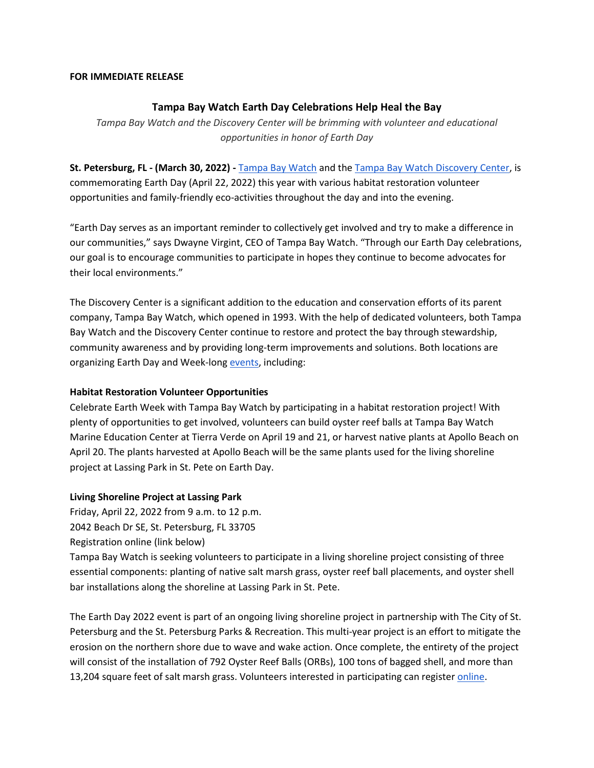## **FOR IMMEDIATE RELEASE**

# **Tampa Bay Watch Earth Day Celebrations Help Heal the Bay**

*Tampa Bay Watch and the Discovery Center will be brimming with volunteer and educational opportunities in honor of Earth Day*

**St. Petersburg, FL - (March 30, 2022) -** [Tampa Bay Watch](http://tampabaywatch.org/) and the [Tampa Bay Watch Discovery Center,](https://tbwdiscoverycenter.org/) is commemorating Earth Day (April 22, 2022) this year with various habitat restoration volunteer opportunities and family-friendly eco-activities throughout the day and into the evening.

"Earth Day serves as an important reminder to collectively get involved and try to make a difference in our communities," says Dwayne Virgint, CEO of Tampa Bay Watch. "Through our Earth Day celebrations, our goal is to encourage communities to participate in hopes they continue to become advocates for their local environments."

The Discovery Center is a significant addition to the education and conservation efforts of its parent company, Tampa Bay Watch, which opened in 1993. With the help of dedicated volunteers, both Tampa Bay Watch and the Discovery Center continue to restore and protect the bay through stewardship, community awareness and by providing long-term improvements and solutions. Both locations are organizing Earth Day and Week-long [events,](https://tampabaywatch.org/events/earthday/) including:

# **Habitat Restoration Volunteer Opportunities**

Celebrate Earth Week with Tampa Bay Watch by participating in a habitat restoration project! With plenty of opportunities to get involved, volunteers can build oyster reef balls at Tampa Bay Watch Marine Education Center at Tierra Verde on April 19 and 21, or harvest native plants at Apollo Beach on April 20. The plants harvested at Apollo Beach will be the same plants used for the living shoreline project at Lassing Park in St. Pete on Earth Day.

# **Living Shoreline Project at Lassing Park**

Friday, April 22, 2022 from 9 a.m. to 12 p.m. 2042 Beach Dr SE, St. Petersburg, FL 33705 Registration online (link below)

Tampa Bay Watch is seeking volunteers to participate in a living shoreline project consisting of three essential components: planting of native salt marsh grass, oyster reef ball placements, and oyster shell bar installations along the shoreline at Lassing Park in St. Pete.

The Earth Day 2022 event is part of an ongoing living shoreline project in partnership with The City of St. Petersburg and the St. Petersburg Parks & Recreation. This multi-year project is an effort to mitigate the erosion on the northern shore due to wave and wake action. Once complete, the entirety of the project will consist of the installation of 792 Oyster Reef Balls (ORBs), 100 tons of bagged shell, and more than 13,204 square feet of salt marsh grass. Volunteers interested in participating can registe[r online.](https://tampabaywatch.org/volunteer-main/scheduled-projects/)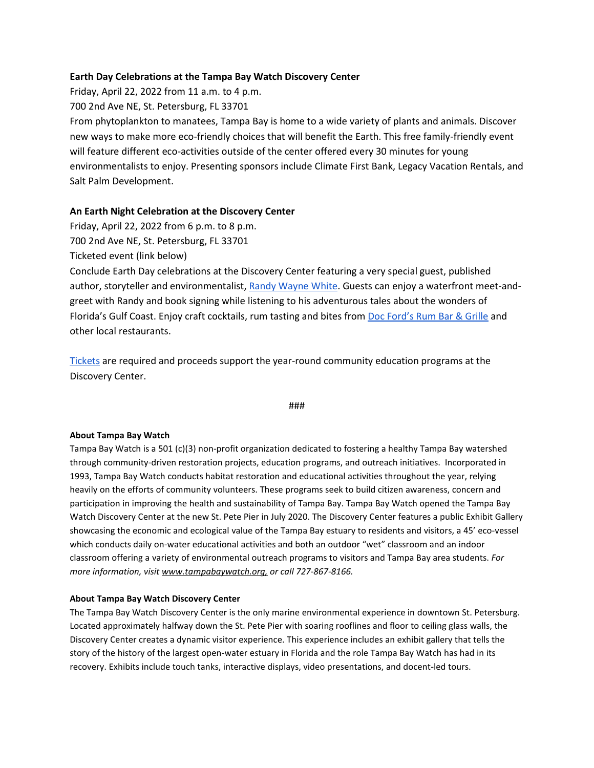## **Earth Day Celebrations at the Tampa Bay Watch Discovery Center**

Friday, April 22, 2022 from 11 a.m. to 4 p.m.

700 2nd Ave NE, St. Petersburg, FL 33701

From phytoplankton to manatees, Tampa Bay is home to a wide variety of plants and animals. Discover new ways to make more eco-friendly choices that will benefit the Earth. This free family-friendly event will feature different eco-activities outside of the center offered every 30 minutes for young environmentalists to enjoy. Presenting sponsors include Climate First Bank, Legacy Vacation Rentals, and Salt Palm Development.

# **An Earth Night Celebration at the Discovery Center**

Friday, April 22, 2022 from 6 p.m. to 8 p.m.

700 2nd Ave NE, St. Petersburg, FL 33701

Ticketed event (link below)

Conclude Earth Day celebrations at the Discovery Center featuring a very special guest, published author, storyteller and environmentalist[, Randy Wayne White.](https://www.randywaynewhite.com/doc-ford-novel-series) Guests can enjoy a waterfront meet-andgreet with Randy and book signing while listening to his adventurous tales about the wonders of Florida's Gulf Coast. Enjoy craft cocktails, rum tasting and bites from [Doc Ford's Rum Bar & Grille](https://www.docfords.com/) and other local restaurants.

[Tickets](https://41207a.blackbaudhosting.com/41207a/Earth-Night-Celebration) are required and proceeds support the year-round community education programs at the Discovery Center.

#### ###

## **About Tampa Bay Watch**

Tampa Bay Watch is a 501 (c)(3) non-profit organization dedicated to fostering a healthy Tampa Bay watershed through community-driven restoration projects, education programs, and outreach initiatives. Incorporated in 1993, Tampa Bay Watch conducts habitat restoration and educational activities throughout the year, relying heavily on the efforts of community volunteers. These programs seek to build citizen awareness, concern and participation in improving the health and sustainability of Tampa Bay. Tampa Bay Watch opened the Tampa Bay Watch Discovery Center at the new St. Pete Pier in July 2020. The Discovery Center features a public Exhibit Gallery showcasing the economic and ecological value of the Tampa Bay estuary to residents and visitors, a 45' eco-vessel which conducts daily on-water educational activities and both an outdoor "wet" classroom and an indoor classroom offering a variety of environmental outreach programs to visitors and Tampa Bay area students. *For more information, visit www.tampabaywatch.org, or call 727-867-8166.* 

## **About Tampa Bay Watch Discovery Center**

The Tampa Bay Watch Discovery Center is the only marine environmental experience in downtown St. Petersburg. Located approximately halfway down the St. Pete Pier with soaring rooflines and floor to ceiling glass walls, the Discovery Center creates a dynamic visitor experience. This experience includes an exhibit gallery that tells the story of the history of the largest open-water estuary in Florida and the role Tampa Bay Watch has had in its recovery. Exhibits include touch tanks, interactive displays, video presentations, and docent-led tours.